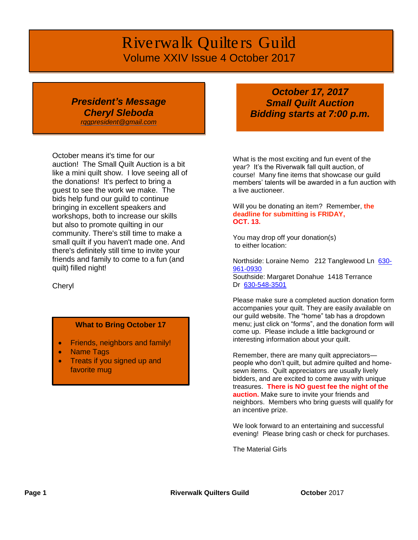# *Riverwalk Quilters Guild* Volume XXIV Issue 4 October 2017

## *President's Message Cheryl Sleboda*

*[rqgpresident@gmail.com](mailto:rqgpresident@gmail.com)*

October means it's time for our auction! The Small Quilt Auction is a bit like a mini quilt show. I love seeing all of the donations! It's perfect to bring a guest to see the work we make. The bids help fund our guild to continue bringing in excellent speakers and workshops, both to increase our skills but also to promote quilting in our community. There's still time to make a small quilt if you haven't made one. And there's definitely still time to invite your friends and family to come to a fun (and quilt) filled night!

Cheryl

#### **What to Bring October 17**

- Friends, neighbors and family!
- Name Tags
- Treats if you signed up and favorite mug

## *October 17, 2017 Small Quilt Auction Bidding starts at 7:00 p.m.*

What is the most exciting and fun event of the year? It's the Riverwalk fall quilt auction, of course! Many fine items that showcase our guild members' talents will be awarded in a fun auction with a live auctioneer.

Will you be donating an item? Remember, **the deadline for submitting is FRIDAY, OCT. 13.**

You may drop off your donation(s) to either location:

Northside: Loraine Nemo 212 Tanglewood Ln [630-](tel:(630)%20961-0930) [961-0930](tel:(630)%20961-0930) Southside: Margaret Donahue 1418 Terrance Dr [630-548-3501](tel:(630)%20548-3501)

Please make sure a completed auction donation form accompanies your quilt. They are easily available on our guild website. The "home" tab has a dropdown menu; just click on "forms", and the donation form will come up. Please include a little background or interesting information about your quilt.

Remember, there are many quilt appreciators people who don't quilt, but admire quilted and homesewn items. Quilt appreciators are usually lively bidders, and are excited to come away with unique treasures. **There is NO guest fee the night of the auction.** Make sure to invite your friends and neighbors. Members who bring guests will qualify for an incentive prize.

We look forward to an entertaining and successful evening! Please bring cash or check for purchases.

The Material Girls

**Page 1 Riverwalk Quilters Guild October** 2017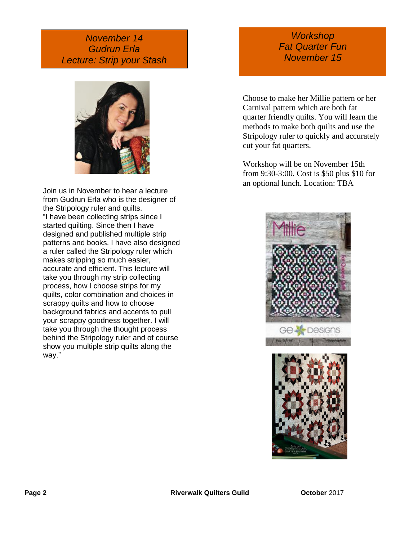## *November 14 Gudrun Erla Lecture: Strip your Stash*



Join us in November to hear a lecture from Gudrun Erla who is the designer of the Stripology ruler and quilts. "I have been collecting strips since I started quilting. Since then I have designed and published multiple strip patterns and books. I have also designed a ruler called the Stripology ruler which makes stripping so much easier, accurate and efficient. This lecture will take you through my strip collecting process, how I choose strips for my quilts, color combination and choices in scrappy quilts and how to choose background fabrics and accents to pull your scrappy goodness together. I will take you through the thought process behind the Stripology ruler and of course show you multiple strip quilts along the way."

## *Workshop Fat Quarter Fun November 15*

Choose to make her Millie pattern or her Carnival pattern which are both fat quarter friendly quilts. You will learn the methods to make both quilts and use the Stripology ruler to quickly and accurately cut your fat quarters.

Workshop will be on November 15th from 9:30-3:00. Cost is \$50 plus \$10 for an optional lunch. Location: TBA



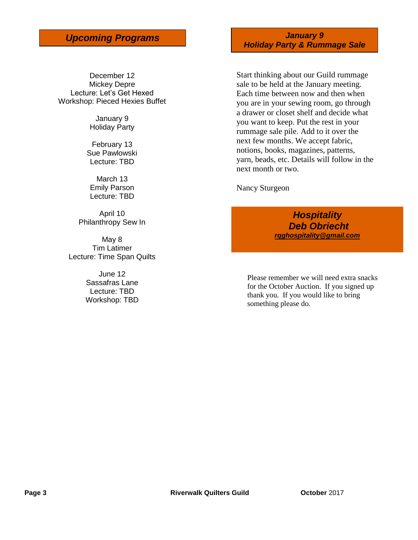December 12 Mickey Depre Lecture: Let's Get Hexed Workshop: Pieced Hexies Buffet

> January 9 Holiday Party

February 13 Sue Pawlowski Lecture: TBD

March 13 Emily Parson Lecture: TBD

April 10 Philanthropy Sew In

May 8 Tim Latimer Lecture: Time Span Quilts

> June 12 Sassafras Lane Lecture: TBD Workshop: TBD

*Upcoming Programs January 9 Holiday Party & Rummage Sale*

> Start thinking about our Guild rummage sale to be held at the January meeting. Each time between now and then when you are in your sewing room, go through a drawer or closet shelf and decide what you want to keep. Put the rest in your rummage sale pile. Add to it over the next few months. We accept fabric, notions, books, magazines, patterns, yarn, beads, etc. Details will follow in the next month or two.

Nancy Sturgeon

*Hospitality Deb Obriecht [rqghospitality@gmail.com](file:///C:/Users/Sandra/Documents/RQG%20Newsletter/rqghospitality@gmail.com)*

Please remember we will need extra snacks for the October Auction. If you signed up thank you. If you would like to bring something please do.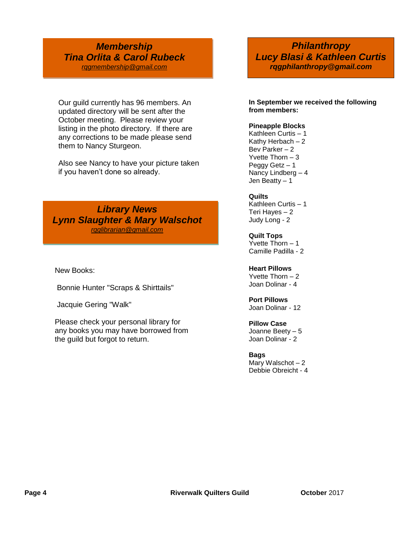## *Membership Tina Orlita & Carol Rubeck [rqgmembership@gmail.com](mailto:rqgmembership@gmail.com)*

Our guild currently has 96 members. An updated directory will be sent after the October meeting. Please review your listing in the photo directory. If there are any corrections to be made please send them to Nancy Sturgeon.

Also see Nancy to have your picture taken if you haven't done so already.

*Library News Lynn Slaughter & Mary Walschot [rqglibrarian@gmail.com](mailto:rqglibrarian@gmail.com)*

New Books:

Bonnie Hunter "Scraps & Shirttails"

Jacquie Gering "Walk"

Please check your personal library for any books you may have borrowed from the guild but forgot to return.

*Philanthropy Lucy Blasi & Kathleen Curtis rqgphilanthropy@gmail.com*

**In September we received the following from members:** 

#### **Pineapple Blocks**

Kathleen Curtis – 1 Kathy Herbach – 2 Bev Parker – 2 Yvette Thorn – 3 Peggy Getz – 1 Nancy Lindberg – 4 Jen Beatty – 1

#### **Quilts**

Kathleen Curtis – 1 Teri Hayes – 2 Judy Long - 2

**Quilt Tops** Yvette Thorn – 1 Camille Padilla - 2

**Heart Pillows**

Yvette Thorn – 2 Joan Dolinar - 4

### **Port Pillows**

Joan Dolinar - 12

#### **Pillow Case**

Joanne Beety – 5 Joan Dolinar - 2

#### **Bags**

Mary Walschot – 2 Debbie Obreicht - 4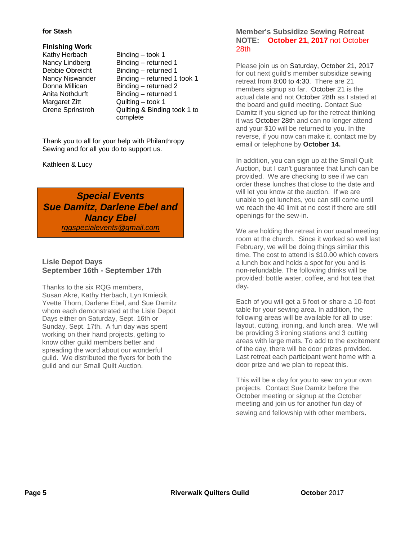#### **for Stash**

**Finishing Work**

Kathy Herbach Binding – took 1 Margaret Zitt Quilting – took 1

Nancy Lindberg Binding – returned 1 Debbie Obreicht Binding – returned 1 Nancy Niswander Binding – returned 1 took 1 Donna Millican Binding – returned 2 Anita Nothdurft Binding – returned 1 Orene Sprinstroh Quilting & Binding took 1 to complete

Thank you to all for your help with Philanthropy Sewing and for all you do to support us.

Kathleen & Lucy

*Special Events Sue Damitz, Darlene Ebel and Nancy Ebel rqgspecialevents@gmail.com*

#### **Lisle Depot Days September 16th - September 17th**

Thanks to the six RQG members, Susan Akre, Kathy Herbach, Lyn Kmiecik, Yvette Thorn, Darlene Ebel, and Sue Damitz whom each demonstrated at the Lisle Depot Days either on Saturday, Sept. 16th or Sunday, Sept. 17th. A fun day was spent working on their hand projects, getting to know other guild members better and spreading the word about our wonderful guild. We distributed the flyers for both the guild and our Small Quilt Auction.

#### **Member's Subsidize Sewing Retreat NOTE: October 21, 2017** not October 28th

Please join us on Saturday, October 21, 2017 for out next guild's member subsidize sewing retreat from 8:00 to 4:30. There are 21 members signup so far. October 21 is the actual date and not October 28th as I stated at the board and guild meeting. Contact Sue Damitz if you signed up for the retreat thinking it was October 28th and can no longer attend and your \$10 will be returned to you. In the reverse, if you now can make it, contact me by email or telephone by **October 14.**

In addition, you can sign up at the Small Quilt Auction, but I can't guarantee that lunch can be provided. We are checking to see if we can order these lunches that close to the date and will let you know at the auction. If we are unable to get lunches, you can still come until we reach the 40 limit at no cost if there are still openings for the sew-in.

We are holding the retreat in our usual meeting room at the church. Since it worked so well last February, we will be doing things similar this time. The cost to attend is \$10.00 which covers a lunch box and holds a spot for you and is non-refundable. The following drinks will be provided: bottle water, coffee, and hot tea that day**.**

Each of you will get a 6 foot or share a 10-foot table for your sewing area. In addition, the following areas will be available for all to use: layout, cutting, ironing, and lunch area. We will be providing 3 ironing stations and 3 cutting areas with large mats. To add to the excitement of the day, there will be door prizes provided. Last retreat each participant went home with a door prize and we plan to repeat this.

This will be a day for you to sew on your own projects. Contact Sue Damitz before the October meeting or signup at the October meeting and join us for another fun day of sewing and fellowship with other members**.**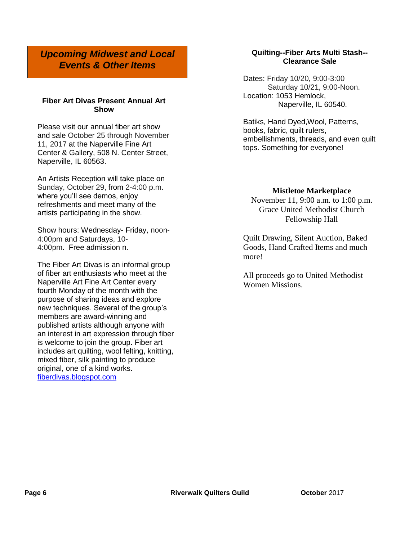*Upcoming Midwest and Local Events & Other Items*

#### **Fiber Art Divas Present Annual Art Show**

Please visit our annual fiber art show and sale October 25 through November 11, 2017 at the Naperville Fine Art Center & Gallery, 508 N. Center Street, Naperville, IL 60563.

An Artists Reception will take place on Sunday, October 29, from 2-4:00 p.m. where you'll see demos, enjoy refreshments and meet many of the artists participating in the show.

Show hours: Wednesday- Friday, noon-4:00pm and Saturdays, 10- 4:00pm. Free admission n.

The Fiber Art Divas is an informal group of fiber art enthusiasts who meet at the Naperville Art Fine Art Center every fourth Monday of the month with the purpose of sharing ideas and explore new techniques. Several of the group's members are award-winning and published artists although anyone with an interest in art expression through fiber is welcome to join the group. Fiber art includes art quilting, wool felting, knitting, mixed fiber, silk painting to produce original, one of a kind works. [fiberdivas.blogspot.com](http://fiberdivas.blogspot.com/)

#### **Quilting--Fiber Arts Multi Stash-- Clearance Sale**

Dates: Friday 10/20, 9:00-3:00 Saturday 10/21, 9:00-Noon. Location: 1053 Hemlock, Naperville, IL 60540.

Batiks, Hand Dyed,Wool, Patterns, books, fabric, quilt rulers, embellishments, threads, and even quilt tops. Something for everyone!

#### **Mistletoe Marketplace**

November 11, 9:00 a.m. to 1:00 p.m. Grace United Methodist Church Fellowship Hall

Quilt Drawing, Silent Auction, Baked Goods, Hand Crafted Items and much more!

All proceeds go to United Methodist Women Missions.